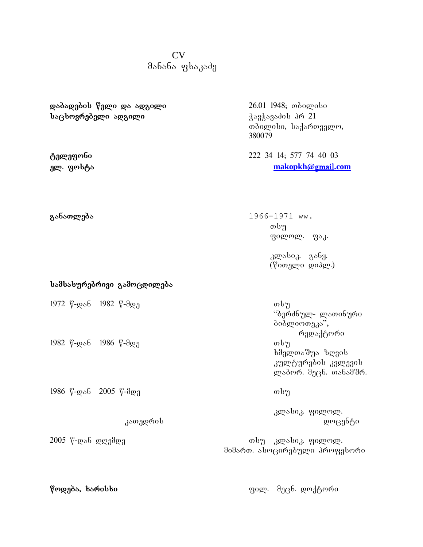## CV  $\partial \delta$ ანანა ფხაკა $\partial \delta$

**dabadebis weli da adgili** 26.01 1948; Tbilisi **sacxovrebeli adgili** WavWavaZis pr 21

**სამსახურებრივი გამოცდილება** 

1972 წ-დან 1982 წ-მდე — — — — — — — — — — — თსუ

1982 წ-დან 1986 წ-მდე — — — — — — — — — — — თსუ

1986 w-dan 2005 w-mde Tsu

თბილისი, საქართველო, 380079

**telefoni** 222 34 14; 577 74 40 03 **el. fosta [makopkh@](mailto:makopkh@yahoo.com)**gmail**.com**

**განათლება** 1966-1971 ww.  $\omega_{\rm d}$ ფილოლ. ფაკ.

> კლასიკ. განყ. (წითელი დიპლ.)

"ბერძნულ- ლათინური ბიბლიოთეკა", რედაქტორი ხმელთაშუა ზღვის კულტურების კვლევის ლაბორ. მეცნ. თანამშრ.

კლასიკ. ფილოლ.  $\alpha$ გათედრის სახელია სახელია სახელია დოცენტი

2005 w-dan dRemde Tsu klasik. filol. მიმართ. ასოცირებული პროფესორი

**wodeba, xarisxi** fil. Mmecn. doqtori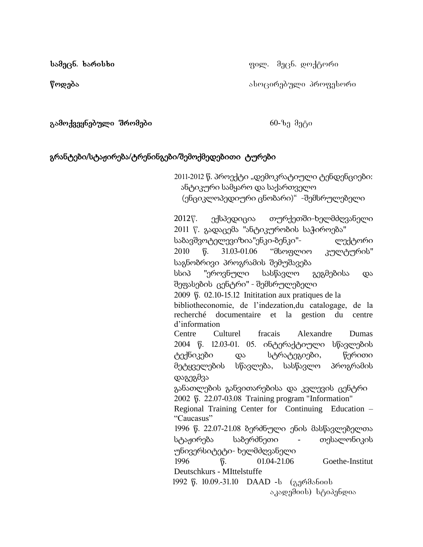**სამეცნ. ხარისხი** თანდა და და და და და ფილ. მეცნ. დოქტორი

**წოდება** მომოწარებული პროფესორი

**gamoqveynebuli Sromebi** 60-ze meti

## გრანტები/სტაჟირება**/**ტრენინგები**/**შემოქმედებითი ტურები

2011-2012 წ. პროექტი "დემოკრატიული ტენდენციები: ანტიკური სამყარო და საქართველო (ენციკლოპედიური ცნობარი)" -შემსრულებელი

2012w. ექსპედიცია თურქეთში-ხელმძღვანელი 2011 წ. გადაცემა "ანტიკურობის საჭიროება" საბავშვოტელევიზია"ენკი-ბენკი"- ლექტორი 2010 წ. 31.03-01.06 "მსოფლიო კულტურის" საგნობრივი პროგრამის შემუშავება სსიპ "ეროვნული სასწავლო გეგმებისა და შეფასების ცენტრი" - შემსრულებელი 2009 წ. 02.10-15.12 Inititation aux pratiques de la bibliotheconomie, de l'indezation,du catalogage, de la recherché documentaire et la gestion du centre d'information Centre Culturel fracais Alexandre Dumas 2004 წ. 12.03-01. 05. ინტერაქტიული სწავლების ტექნიკები და სტრატეგიები, წერითი მეტყველების სწავლება, სასწავლო პროგრამის დაგეგმვა განათლების განვითარებისა და კვლევის ცენტრი 2002 წ. 22.07-03.08 Training program "Information" Regional Training Center for Continuing Education – "Caucasus" 1996 წ. 22.07-21.08 ბერძნული ენის მასწავლებელთა სტაჟირება საბერძნეთი - თესალონიკის უნივერსიტეტი- ხელმძღვანელი 1996 წ. 01.04-21.06 Goethe-Institut Deutschkurs - MIttelstuffe 1992 წ. 10.09.-31.10 DAAD - ს (გერმანიის

აკადემიის) სტიპენდია